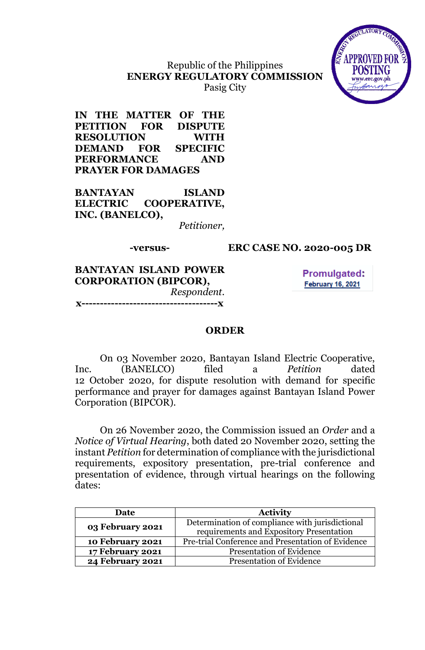

## Republic of the Philippines **ENERGY REGULATORY COMMISSION** Pasig City

**IN THE MATTER OF THE PETITION FOR DISPUTE RESOLUTION WITH DEMAND FOR SPECIFIC PERFORMANCE AND PRAYER FOR DAMAGES**

**BANTAYAN ISLAND ELECTRIC COOPERATIVE, INC. (BANELCO),**

*Petitioner,*

## **-versus- ERC CASE NO. 2020-005 DR**

**BANTAYAN ISLAND POWER CORPORATION (BIPCOR),** *Respondent.* **x-------------------------------------x**

**Promulgated: February 16, 2021** 

## **ORDER**

On 03 November 2020, Bantayan Island Electric Cooperative, Inc. (BANELCO) filed a *Petition* dated 12 October 2020, for dispute resolution with demand for specific performance and prayer for damages against Bantayan Island Power Corporation (BIPCOR).

On 26 November 2020, the Commission issued an *Order* and a *Notice of Virtual Hearing*, both dated 20 November 2020, setting the instant *Petition* for determination of compliance with the jurisdictional requirements, expository presentation, pre-trial conference and presentation of evidence, through virtual hearings on the following dates:

| Date                    | <b>Activity</b>                                   |  |
|-------------------------|---------------------------------------------------|--|
| 03 February 2021        | Determination of compliance with jurisdictional   |  |
|                         | requirements and Expository Presentation          |  |
| 10 February 2021        | Pre-trial Conference and Presentation of Evidence |  |
| <b>17 February 2021</b> | <b>Presentation of Evidence</b>                   |  |
| <b>24 February 2021</b> | <b>Presentation of Evidence</b>                   |  |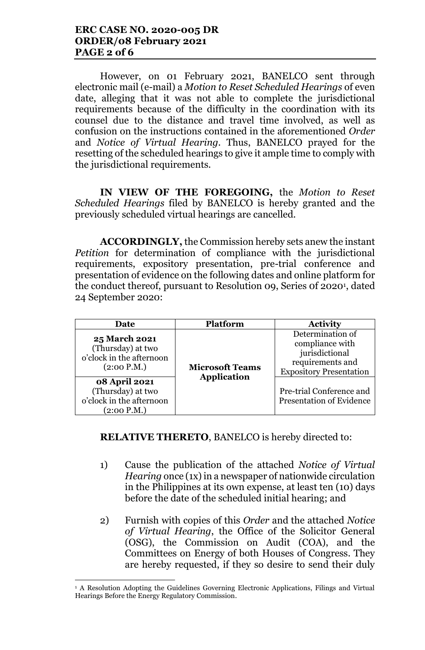However, on 01 February 2021, BANELCO sent through electronic mail (e-mail) a *Motion to Reset Scheduled Hearings* of even date, alleging that it was not able to complete the jurisdictional requirements because of the difficulty in the coordination with its counsel due to the distance and travel time involved, as well as confusion on the instructions contained in the aforementioned *Order*  and *Notice of Virtual Hearing*. Thus, BANELCO prayed for the resetting of the scheduled hearings to give it ample time to comply with the jurisdictional requirements.

**IN VIEW OF THE FOREGOING,** the *Motion to Reset Scheduled Hearings* filed by BANELCO is hereby granted and the previously scheduled virtual hearings are cancelled.

**ACCORDINGLY,** the Commission hereby sets anew the instant *Petition* for determination of compliance with the jurisdictional requirements, expository presentation, pre-trial conference and presentation of evidence on the following dates and online platform for the conduct thereof, pursuant to Resolution 09, Series 0f 2020<sup>1</sup> , dated 24 September 2020:

| Date                                                                                 | <b>Platform</b>                              | <b>Activity</b>                                                                                             |
|--------------------------------------------------------------------------------------|----------------------------------------------|-------------------------------------------------------------------------------------------------------------|
| <b>25 March 2021</b><br>(Thursday) at two<br>o'clock in the afternoon<br>(2:00 P.M.) | <b>Microsoft Teams</b><br><b>Application</b> | Determination of<br>compliance with<br>jurisdictional<br>requirements and<br><b>Expository Presentation</b> |
| <b>08 April 2021</b><br>(Thursday) at two<br>o'clock in the afternoon<br>(2:00 P.M.) |                                              | Pre-trial Conference and<br><b>Presentation of Evidence</b>                                                 |

# **RELATIVE THERETO**, BANELCO is hereby directed to:

- 1) Cause the publication of the attached *Notice of Virtual Hearing* once (1x) in a newspaper of nationwide circulation in the Philippines at its own expense, at least ten (10) days before the date of the scheduled initial hearing; and
- 2) Furnish with copies of this *Order* and the attached *Notice of Virtual Hearing*, the Office of the Solicitor General (OSG), the Commission on Audit (COA), and the Committees on Energy of both Houses of Congress. They are hereby requested, if they so desire to send their duly

<sup>&</sup>lt;sup>1</sup> A Resolution Adopting the Guidelines Governing Electronic Applications, Filings and Virtual Hearings Before the Energy Regulatory Commission.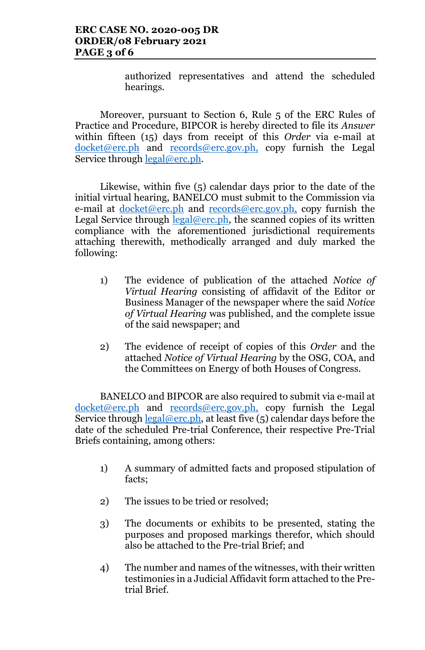authorized representatives and attend the scheduled hearings.

Moreover, pursuant to Section 6, Rule 5 of the ERC Rules of Practice and Procedure, BIPCOR is hereby directed to file its *Answer* within fifteen (15) days from receipt of this *Order* via e-mail at docket@erc.ph and records@erc.gov.ph, copy furnish the Legal Service through <u>legal@erc.ph</u>.

Likewise, within five (5) calendar days prior to the date of the initial virtual hearing, BANELCO must submit to the Commission via e-mail at <u>docket@erc.ph</u> and records@erc.gov.ph, copy furnish the Legal Service through  $\text{legal@erc.ph}$ , the scanned copies of its written compliance with the aforementioned jurisdictional requirements attaching therewith, methodically arranged and duly marked the following:

- 1) The evidence of publication of the attached *Notice of Virtual Hearing* consisting of affidavit of the Editor or Business Manager of the newspaper where the said *Notice of Virtual Hearing* was published, and the complete issue of the said newspaper; and
- 2) The evidence of receipt of copies of this *Order* and the attached *Notice of Virtual Hearing* by the OSG, COA, and the Committees on Energy of both Houses of Congress.

BANELCO and BIPCOR are also required to submit via e-mail at docket@erc.ph and records@erc.gov.ph, copy furnish the Legal Service through  $\frac{\text{legal@erc.ph}}{\text{.}}$  at least five (5) calendar days before the date of the scheduled Pre-trial Conference, their respective Pre-Trial Briefs containing, among others:

- 1) A summary of admitted facts and proposed stipulation of facts;
- 2) The issues to be tried or resolved;
- 3) The documents or exhibits to be presented, stating the purposes and proposed markings therefor, which should also be attached to the Pre-trial Brief; and
- 4) The number and names of the witnesses, with their written testimonies in a Judicial Affidavit form attached to the Pretrial Brief.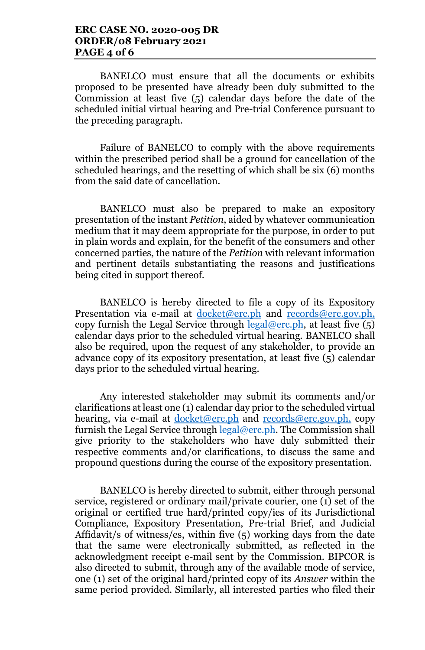BANELCO must ensure that all the documents or exhibits proposed to be presented have already been duly submitted to the Commission at least five (5) calendar days before the date of the scheduled initial virtual hearing and Pre-trial Conference pursuant to the preceding paragraph.

Failure of BANELCO to comply with the above requirements within the prescribed period shall be a ground for cancellation of the scheduled hearings, and the resetting of which shall be six (6) months from the said date of cancellation.

BANELCO must also be prepared to make an expository presentation of the instant *Petition*, aided by whatever communication medium that it may deem appropriate for the purpose, in order to put in plain words and explain, for the benefit of the consumers and other concerned parties, the nature of the *Petition* with relevant information and pertinent details substantiating the reasons and justifications being cited in support thereof.

BANELCO is hereby directed to file a copy of its Expository Presentation via e-mail at docket@erc.ph and records@erc.gov.ph, copy furnish the Legal Service through  $\text{legal@erc.ph.}$  at least five  $(5)$ calendar days prior to the scheduled virtual hearing. BANELCO shall also be required, upon the request of any stakeholder, to provide an advance copy of its expository presentation, at least five (5) calendar days prior to the scheduled virtual hearing.

Any interested stakeholder may submit its comments and/or clarifications at least one (1) calendar day prior to the scheduled virtual hearing, via e-mail at <u>docket@erc.ph</u> and records@erc.gov.ph, copy furnish the Legal Service through legal@erc.ph. The Commission shall give priority to the stakeholders who have duly submitted their respective comments and/or clarifications, to discuss the same and propound questions during the course of the expository presentation.

BANELCO is hereby directed to submit, either through personal service, registered or ordinary mail/private courier, one (1) set of the original or certified true hard/printed copy/ies of its Jurisdictional Compliance, Expository Presentation, Pre-trial Brief, and Judicial Affidavit/s of witness/es, within five (5) working days from the date that the same were electronically submitted, as reflected in the acknowledgment receipt e-mail sent by the Commission. BIPCOR is also directed to submit, through any of the available mode of service, one (1) set of the original hard/printed copy of its *Answer* within the same period provided. Similarly, all interested parties who filed their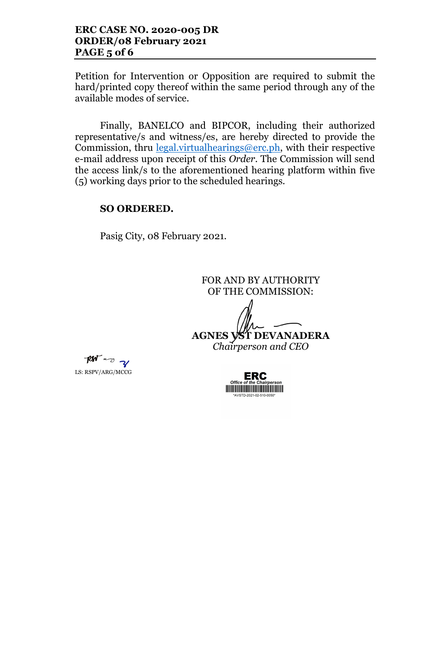Petition for Intervention or Opposition are required to submit the hard/printed copy thereof within the same period through any of the available modes of service.

Finally, BANELCO and BIPCOR, including their authorized representative/s and witness/es, are hereby directed to provide the Commission, thru legal.virtualhearings@erc.ph, with their respective e-mail address upon receipt of this *Order*. The Commission will send the access link/s to the aforementioned hearing platform within five (5) working days prior to the scheduled hearings.

## **SO ORDERED.**

Pasig City, 08 February 2021.

FOR AND BY AUTHORITY OF THE COMMISSION: **AGNES VST DEVANADERA** *Chairperson and CEO*

por and y LS: RSPV/ARG/MCCG

ERC <u> III de la provincia del monte del m</u>